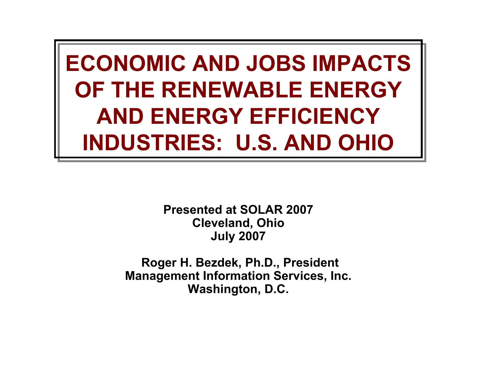**ECONOMIC AND JOBS IMPACTS OF THE RENEWABLE ENERGY AND ENERGY EFFICIENCY INDUSTRIES: U.S. AND OHIO**

> **Presented at SOLAR 2007 Cleveland, Ohio July 2007**

**Roger H. Bezdek, Ph.D., President Management Information Services, Inc. Washington, D.C.**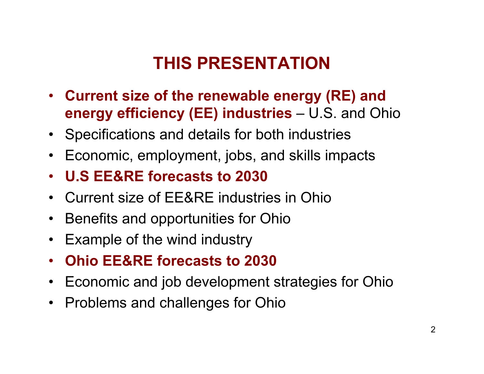### THIS PRESENTATION

- **Current size of the renewable energy (RE) and energy efficiency (EE) industries** – U.S. and Ohio
- Specifications and details for both industries
- Economic, employment, jobs, and skills impacts
- **U.S EE&RE forecasts to 2030**
- Current size of EE&RE industries in Ohio
- Benefits and opportunities for Ohio
- $\bullet$ Example of the wind industry
- **Ohio EE&RE forecasts to 2030**
- Economic and job development strategies for Ohio
- Problems and challenges for Ohio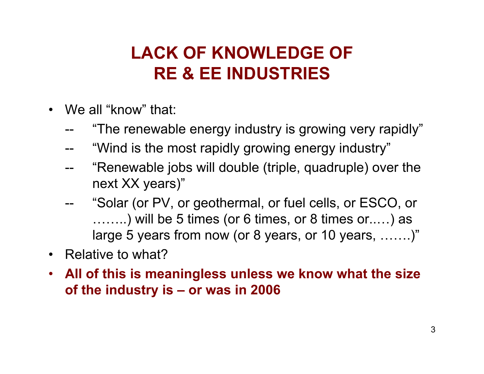### **LACK OF KNOWLEDGE OF RE & EE INDUSTRIES**

- We all "know" that:
	- "The renewable energy industry is growing very rapidly"
	- "Wind is the most rapidly growing energy industry"
	- -- "Renewable jobs will double (triple, quadruple) over the next XX years)"
	- -- "Solar (or PV, or geothermal, or fuel cells, or ESCO, or ……..) will be 5 times (or 6 times, or 8 times or..…) as large 5 years from now (or 8 years, or 10 years, …….)"
- Relative to what?
- **All of this is meaningless unless we know what the size** of the industry is - or was in 2006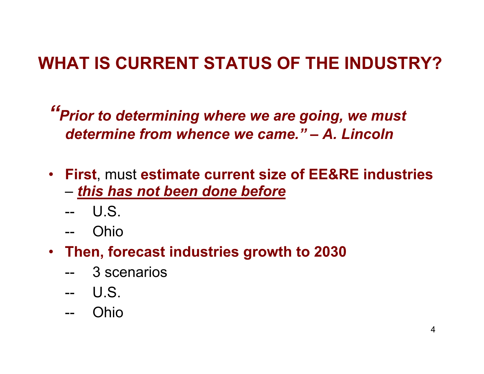### **WHAT IS CURRENT STATUS OF THE INDUSTRY?**

"Prior to determining where we are going, we must *determine from whence we came." – A. Lincoln*

- **First**, must **estimate current size of EE&RE industries** – *this has not been done before*
	- -- U.S.
	- -- O hio
- **Then, forecast industries growth to 2030**
	- -- 3 scenarios
	- -- U.S.
	- -- O hio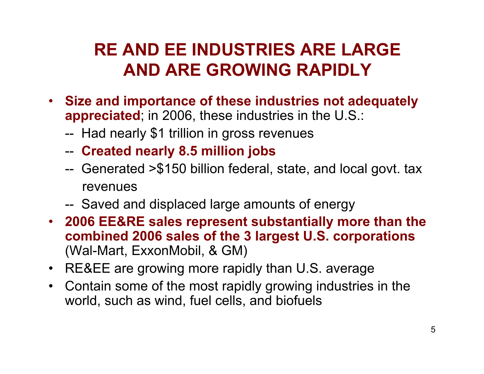### RE AND EE INDUSTRIES ARE LARGE **AND ARE GROWING RAPIDLY**

- · Size and importance of these industries not adequately **a p p r e cia t e d**; in 2006, these industries in the U.S.:
	- -- Had nearly \$1 trillion in gross revenues
	- - **Created nearly 8.5 million jobs**
	- -- Generated >\$150 billion federal, state, and local govt. tax revenues
	- -- Saved and displaced large amounts of energy
- **2006 EE&RE sales represent substantially more than the combined 2006 sales of the 3 largest U.S. corporations** (Wal-Mart, ExxonMobil, & GM)
- RE&EE are growing more rapidly than U.S. average
- Contain some of the most rapidly growing industries in the world, such as wind, fuel cells, and biofuels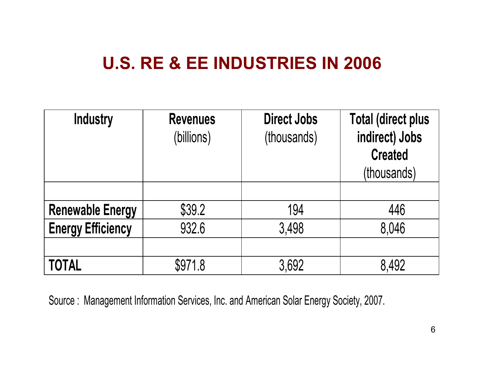### **U.S. RE & EE INDUSTRIES IN 2006**

| <b>Industry</b>          | <b>Revenues</b><br>(billions) | <b>Direct Jobs</b><br>(thousands) | <b>Total (direct plus</b><br>indirect) Jobs<br><b>Created</b><br>(thousands) |  |
|--------------------------|-------------------------------|-----------------------------------|------------------------------------------------------------------------------|--|
|                          |                               |                                   |                                                                              |  |
| <b>Renewable Energy</b>  | \$39.2                        | 194                               | 446                                                                          |  |
| <b>Energy Efficiency</b> | 932.6                         | 3,498                             | 8,046                                                                        |  |
|                          |                               |                                   |                                                                              |  |
| <b>TOTAL</b>             | \$971.8                       | 3,692                             | 8,492                                                                        |  |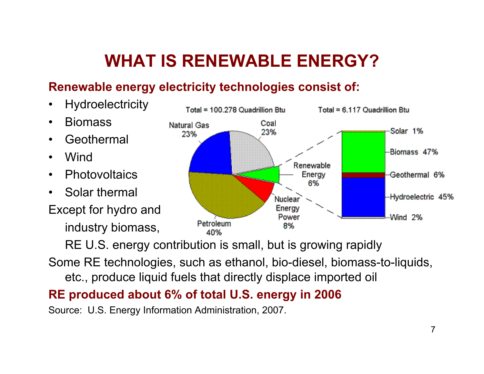## WHAT IS RENEWABLE ENERGY?

#### **Renewable energy electricity techn ologies consist of:**

- Hydroelectricity
- **Biomass**
- **Geothermal**
- Win d
- Photovoltaics
- Solar thermal

Except for hydro and

industry biomass,



RE U.S. energy contribution is small, but is growing rapidly

Some RE technologies, such as ethanol, bio-diesel, biomass-to-liquids, etc., produce liquid fuels that directly displace imported oil

#### **RE produced about 6% of total U.S. energy in 2006**

Source: U.S. Energy Information Administration, 2007.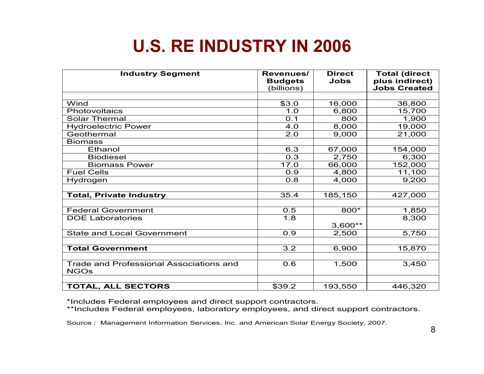### **U.S. RE INDUSTRY IN 2006**

| <b>Industry Segment</b>                                | Revenues/<br><b>Budgets</b><br>(billions) | <b>Direct</b><br>Jobs | <b>Total (direct</b><br>plus indirect)<br><b>Jobs Created</b> |
|--------------------------------------------------------|-------------------------------------------|-----------------------|---------------------------------------------------------------|
|                                                        |                                           |                       |                                                               |
| Wind                                                   | \$3.0                                     | 16,000                | 36,800                                                        |
| Photovoltaics                                          | 1.0                                       | 6,800                 | 15,700                                                        |
| <b>Solar Thermal</b>                                   | O.1                                       | 800                   | 1,900                                                         |
| <b>Hydroelectric Power</b>                             | 4.0                                       | 8,000                 | 19,000                                                        |
| Geothermal                                             | 2.0                                       | 9,000                 | 21,000                                                        |
| <b>Biomass</b>                                         |                                           |                       |                                                               |
| Ethanol                                                | 6.3                                       | 67,000                | 154,000                                                       |
| <b>Biodiesel</b>                                       | 0.3                                       | 2,750                 | 6,300                                                         |
| <b>Biomass Power</b>                                   | 17.0                                      | 66,000                | 152,000                                                       |
| <b>Fuel Cells</b>                                      | 0.9                                       | 4,800                 | 11,100                                                        |
| Hydrogen                                               | 0.8                                       | 4,000                 | 9,200                                                         |
|                                                        |                                           |                       |                                                               |
| <b>Total, Private Industry</b>                         | 35.4                                      | 185,150               | 427,000                                                       |
|                                                        |                                           |                       |                                                               |
| <b>Federal Government</b>                              | 0.5                                       | 800*                  | 1,850                                                         |
| <b>DOE Laboratories</b>                                | 1.8                                       | $3,600**$             | 8,300                                                         |
| <b>State and Local Government</b>                      | 0.9                                       | 2,500                 | 5,750                                                         |
|                                                        |                                           |                       |                                                               |
| <b>Total Government</b>                                | 3.2                                       | 6,900                 | 15,870                                                        |
|                                                        |                                           |                       |                                                               |
| Trade and Professional Associations and<br><b>NGOs</b> | 0.6                                       | 1,500                 | 3,450                                                         |
|                                                        |                                           |                       |                                                               |
| <b>TOTAL, ALL SECTORS</b>                              | \$39.2                                    | 193,550               | 446,320                                                       |

\*Includes Federal employees and direct support contractors.<br>\*\*Includes Federal employees, laboratory employees, and direct support contractors.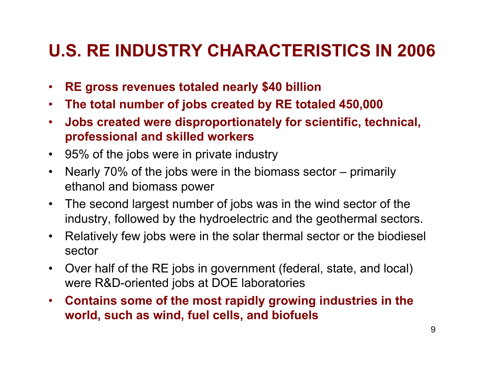### **U.S. RE INDUSTRY CHARACTERISTICS IN 2006**

- **RE gross revenues totaled nearly \$40 billion**
- **The total number of jobs created by RE totaled 450,000**
- **•** Jobs created were disproportionately for scientific, technical, **professional and skilled workers**
- 95% of the jobs were in private industry
- Nearly 70% of the jobs were in the biomass sector – primarily ethanol and biomass power
- $\bullet$ The second largest number of jobs was in the wind sector of the industry, followed by the hydroelectric and the geothermal sectors.
- $\bullet$ Relatively few jobs were in the solar thermal sector or the biodiesel sector
- $\bullet$ Over half of the RE jobs in government (federal, state, and loc al) were R&D-oriented jobs at DOE laboratories
- **Contains some of the most rapidly growing industries in the world, such as wind, fuel cells, and biofuels**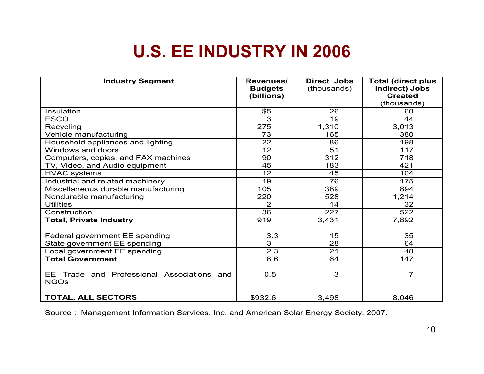### **U.S. EE INDUSTRY IN 2006**

| <b>Industry Segment</b>                                   | Revenues/<br><b>Budgets</b><br>(billions) | Direct Jobs<br>(thousands) | <b>Total (direct plus</b><br>indirect) Jobs<br><b>Created</b><br>(thousands) |
|-----------------------------------------------------------|-------------------------------------------|----------------------------|------------------------------------------------------------------------------|
| Insulation                                                | \$5                                       | 26                         | 60                                                                           |
| <b>ESCO</b>                                               | 3                                         | 19                         | 44                                                                           |
| Recycling                                                 | 275                                       | 1,310                      | 3,013                                                                        |
| Vehicle manufacturing                                     | 73                                        | 165                        | 380                                                                          |
| Household appliances and lighting                         | 22                                        | 86                         | 198                                                                          |
| Windows and doors                                         | $\overline{12}$                           | 51                         | 117                                                                          |
| Computers, copies, and FAX machines                       | 90                                        | 312                        | 718                                                                          |
| TV, Video, and Audio equipment                            | 45                                        | 183                        | 421                                                                          |
| <b>HVAC systems</b>                                       | 12                                        | 45                         | 104                                                                          |
| Industrial and related machinery                          | 19                                        | 76                         | 175                                                                          |
| Miscellaneous durable manufacturing                       | 105                                       | 389                        | 894                                                                          |
| Nondurable manufacturing                                  | 220                                       | 528                        | 1,214                                                                        |
| <b>Utilities</b>                                          | $\overline{2}$                            | 14                         | 32                                                                           |
| Construction                                              | 36                                        | 227                        | 522                                                                          |
| <b>Total, Private Industry</b>                            | 919                                       | 3,431                      | 7,892                                                                        |
|                                                           |                                           |                            |                                                                              |
| Federal government EE spending                            | 3.3                                       | 15                         | 35                                                                           |
| State government EE spending                              | 3                                         | 28                         | 64                                                                           |
| Local government EE spending                              | 2.3                                       | 21                         | 48                                                                           |
| <b>Total Government</b>                                   | 8.6                                       | 64                         | 147                                                                          |
|                                                           |                                           |                            |                                                                              |
| EE Trade and Professional Associations and<br><b>NGOs</b> | 0.5                                       | 3                          | $\overline{7}$                                                               |
|                                                           |                                           |                            |                                                                              |
| <b>TOTAL, ALL SECTORS</b>                                 | \$932.6                                   | 3,498                      | 8,046                                                                        |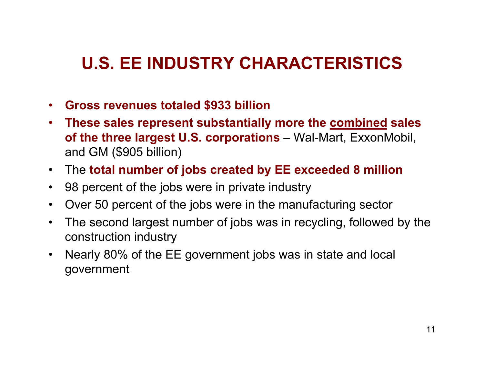### U.S. EE INDUSTRY CHARACTERISTICS

- **Gross revenues totaled \$933 billion**
- **These sales represent substantially more the combined sales of the three largest U.S. corporations** – Wal-Mart, ExxonMobil, and GM (\$905 billion)
- $\bullet$ T h e **total number of jobs created by EE exceeded 8 million**
- 98 percent of the jobs were in private industry
- $\bullet$ Over 50 percent of the jobs were in the manufacturing sector
- $\bullet$ The second largest number of jobs was in recycling, followed by the construction industry
- $\bullet$ Nearly 80% of the EE government jobs was in state and local government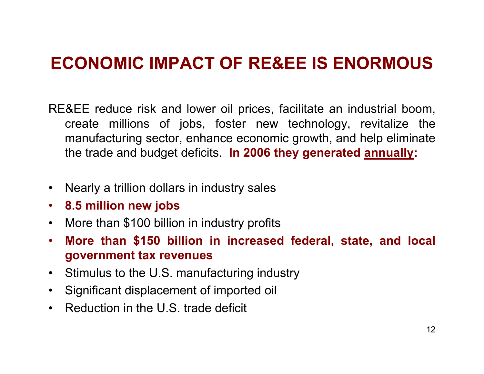### **ECONOMIC IMPACT OF RE&EE IS ENORMOUS**

- RE&EE reduce risk and lower oil prices, facilitate an industrial boom, create millions of jobs, foster new technology, revitalize the manufacturing sector, enhance economic growth, and help eliminate the trade and budget deficits. **In 2006 they generated annually:**
- $\bullet$ Nearly a trillion dollars in industry sales
- **•** 8.5 million new jobs
- More than \$100 billion in industry profits
- **More than \$150 billion in increased federal, state, and local**  government tax revenues
- Stimulus to the U.S. manufacturing industry
- $\bullet$ Significant displacement of imported oil
- Reduction in the U.S. trade defici t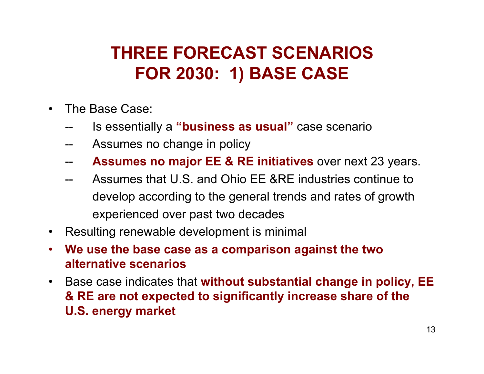### THREE FORECAST SCENARIOS **FOR 2030: 1) BASE CASE**

- $\bullet$ The Base Case:
	- -- Is essentially a **"business as usual"** case scenario
	- -- Assumes no change in policy
	- -- **Assumes no major EE & RE initiatives** over next 23 years.
	- Assumes that U.S. and Ohio EE &RE industries continue to develop according to the general trends and rates of growth experienced over past two decades
- Resulting renewable development is minimal
- $\bullet$ **We use the base case as a comparison against the two alternative scenarios**
- Base case indicates that without substantial change in policy, EE **& RE are not expected to significantly increase share of the U.S. energy market**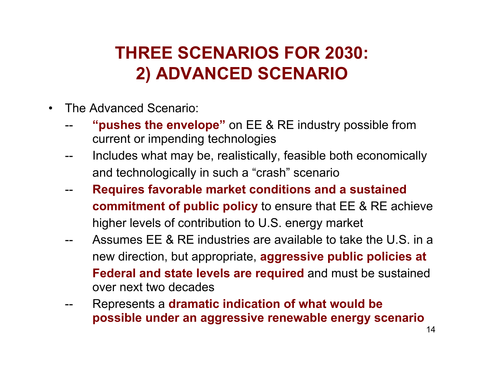### THREE SCENARIOS FOR 2030: **2 ) ADVANCED SCENARIO**

- $\bullet$ The Advanced Scenario:
	- "**pushes the envelope**" on EE & RE industry possible from current or impending technologies
	- Includes what may be, realistically, feasible both economically and technologic ally in such a "crash" scenario
	- **Requires favorable market conditions and a sustained commitment of public policy** to ensure that EE & RE achieve higher lev els of contribution to U.S. energy market
	- -- Assumes EE & RE industries are available to take the U.S. in a new direction, but appropriate, **aggressive public policies at Federal and state levels are required** and must be sustained over next two decades
	- -- Represents a dramatic indication of what would be **possible under an aggressive renewable energy scenario**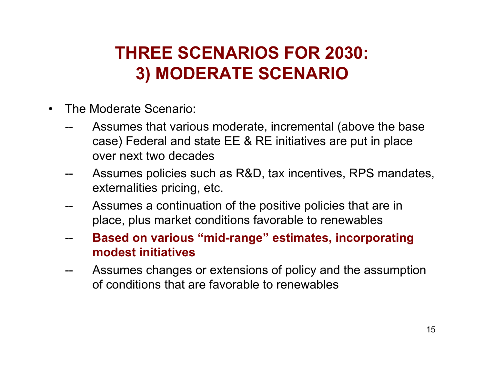### THREE SCENARIOS FOR 2030: **3 ) MODERATE SCENARIO**

- $\bullet$ The Moderate Scenario:
	- -- Assumes that various moderate, incremental (above the base case) Federal and state EE & RE initiatives are put in place over next two decades
	- Assumes policies such as R&D, tax incentives, RPS mandates, externalities pricing, etc.
	- Assumes a continuation of the positive policies that are in place, plus market conditions favorable to renewables
	- -- **Based on various "mid-range " estimates, incorp oratin g modest initiatives**
	- -- Assumes changes or extensions of policy and the assumption of conditions that are favorable to renewables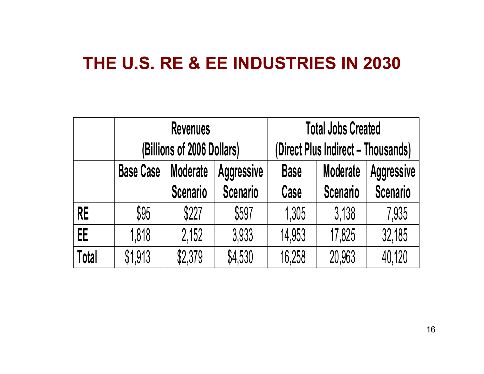#### THE U.S. RE & EE INDUSTRIES IN 2030

|           |                                                          | <b>Revenues</b> |                 | <b>Total Jobs Created</b>          |                                      |                 |  |
|-----------|----------------------------------------------------------|-----------------|-----------------|------------------------------------|--------------------------------------|-----------------|--|
|           | (Billions of 2006 Dollars)                               |                 |                 | (Direct Plus Indirect – Thousands) |                                      |                 |  |
|           | <b>Moderate</b><br><b>Base Case</b><br><b>Aggressive</b> |                 |                 | <b>Base</b>                        | <b>Moderate</b><br><b>Aggressive</b> |                 |  |
|           |                                                          | <b>Scenario</b> | <b>Scenario</b> | Case                               | <b>Scenario</b>                      | <b>Scenario</b> |  |
| <b>RE</b> | \$95                                                     | \$227           | \$597           | 1,305                              | 3,138                                | 7,935           |  |
| EE        | 1,818                                                    | 2,152           | 3,933           | 14,953                             | 17,825                               | 32,185          |  |
| Total     | \$1,913                                                  | \$2,379         | \$4,530         | 16,258                             | 20,963                               | 40,120          |  |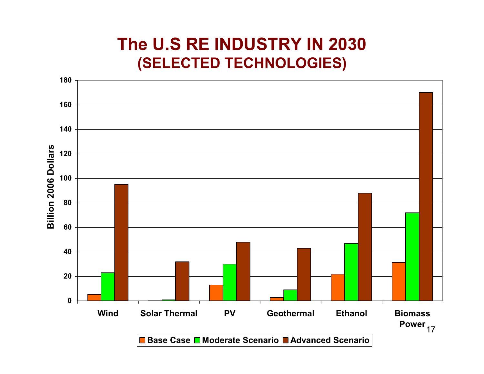#### **The U.S RE INDUSTRY IN 2030 (SELECTED TECHNOLOGIES)**

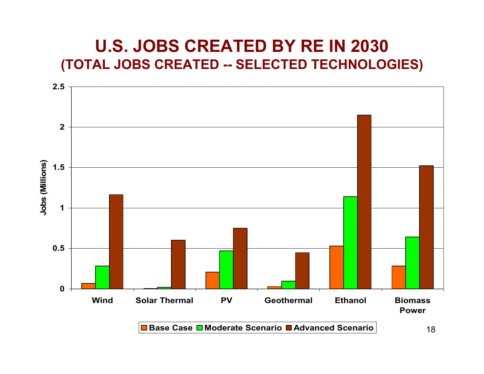#### U.S. JOBS CREATED BY RE IN 2030 **(TOTAL JOBS CREATED -- SELECTED TECHNOLOGIES)**

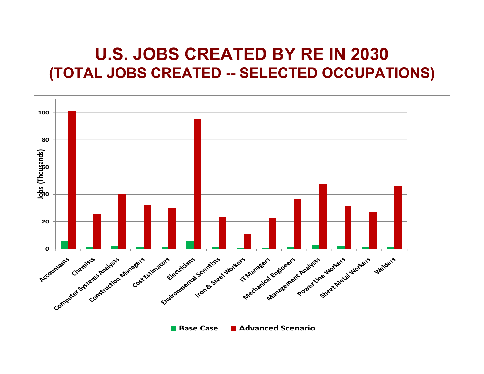#### U.S. JOBS CREATED BY RE IN 2030 **(TOTAL JOBS CREATED -- SELECTED OCCUPATIONS)**

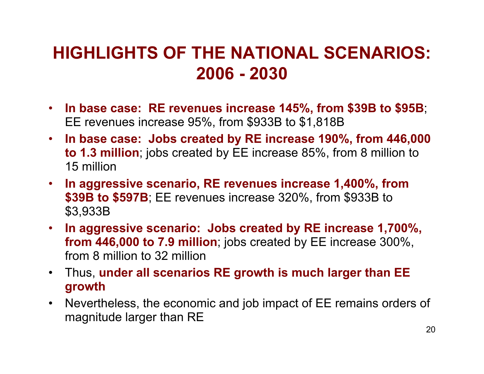### **HIGHLIGHTS OF THE NATIONAL SCENARIOS: 2 0 0 6 - 2 0 3 0**

- **In base case: RE revenues increase 145%, from \$39B to \$95B**; EE revenues increase 95%, from \$933B to \$1,818B
- **In base case: Jobs created by RE increase 190%, from 446,000 t o 1.3 millio n**; jobs created by EE increase 85%, from 8 million to 1 5 millio n
- **In aggressive scenario, RE revenues increase 1,400%, from \$39B to \$597B**; EE revenues increase 320%, from \$933B to \$3,933B
- **In aggressive scenario: Jobs created by RE increase 1,700%, f r o m 4 4 6,0 0 0 t o 7.9 millio n**; jobs created by EE increase 300%, from 8 million to 32 million
- T h u s, **under all scenarios RE growth is much larger than EE**  growth
- $\bullet$ Nevertheless, the economic and job impact of EE remains orders of magnitude larger than RE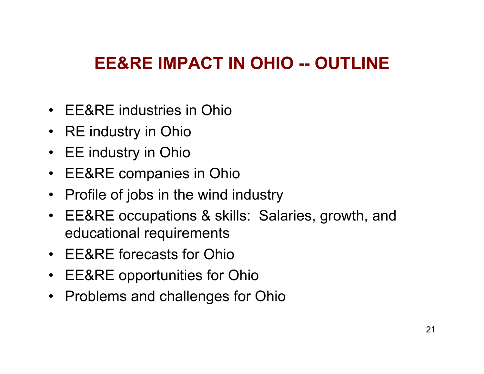### EE&RE IMPACT IN OHIO -- OUTLINE

- EE&RE industries in Ohio
- RE industry in Ohio
- EE industry in Ohio
- EE&RE companies in Ohio
- Profile of jobs in the wind industry
- EE&RE occupations & skills: Salaries, growth, and educational requirements
- EE&RE forecasts for Ohio
- EE&RE opportunities for Ohio
- Problems and challenges for Ohio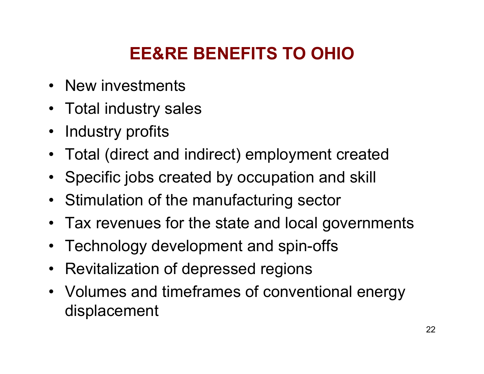## **EE&RE BENEFITS TO OHIO**

- New investments
- Total industry sales
- Industry profits
- Total (direct and indirect) employment created
- Specific jobs created by occupation and skill
- Stimulation of the manufacturing sector
- Tax revenues for the state and local governments
- Technology development and spin-offs
- $\bullet$ Revitalization of depressed regions
- Volumes and timeframes of conventional energy displacement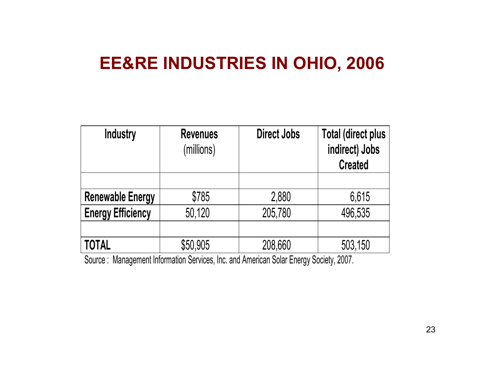### **EE&RE INDUSTRIES IN OHIO, 2006**

| <b>Industry</b>          | <b>Revenues</b><br>(millions) | <b>Direct Jobs</b> | <b>Total (direct plus</b><br>indirect) Jobs<br><b>Created</b> |
|--------------------------|-------------------------------|--------------------|---------------------------------------------------------------|
|                          |                               |                    |                                                               |
| <b>Renewable Energy</b>  | \$785                         | 2,880              | 6,615                                                         |
| <b>Energy Efficiency</b> | 50,120                        | 205,780            | 496,535                                                       |
|                          |                               |                    |                                                               |
| <b>TOTAL</b>             | \$50,905                      | 208,660            | 503,150                                                       |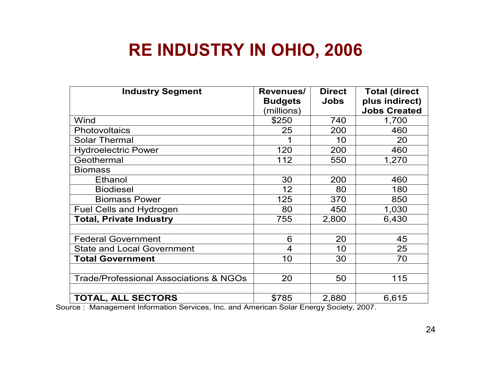### **RE INDUSTRY IN OHIO, 2006**

| <b>Industry Segment</b>                           | Revenues/      | <b>Direct</b> | <b>Total (direct</b> |
|---------------------------------------------------|----------------|---------------|----------------------|
|                                                   | <b>Budgets</b> | <b>Jobs</b>   | plus indirect)       |
|                                                   | (millions)     |               | <b>Jobs Created</b>  |
| Wind                                              | \$250          | 740           | 1,700                |
| Photovoltaics                                     | 25             | 200           | 460                  |
| <b>Solar Thermal</b>                              |                | 10            | 20                   |
| <b>Hydroelectric Power</b>                        | 120            | 200           | 460                  |
| Geothermal                                        | 112            | 550           | 1,270                |
| <b>Biomass</b>                                    |                |               |                      |
| Ethanol                                           | 30             | 200           | 460                  |
| <b>Biodiesel</b>                                  | 12             | 80            | 180                  |
| <b>Biomass Power</b>                              | 125            | 370           | 850                  |
| <b>Fuel Cells and Hydrogen</b>                    | 80             | 450           | 1,030                |
| <b>Total, Private Industry</b>                    | 755            | 2,800         | 6,430                |
|                                                   |                |               |                      |
| <b>Federal Government</b>                         | 6              | 20            | 45                   |
| <b>State and Local Government</b>                 | $\overline{4}$ | 10            | 25                   |
| <b>Total Government</b>                           | 10             | 30            | 70                   |
|                                                   |                |               |                      |
| <b>Trade/Professional Associations &amp; NGOs</b> | 20             | 50            | 115                  |
|                                                   |                |               |                      |
| <b>TOTAL, ALL SECTORS</b>                         | \$785          | 2,880         | 6,615                |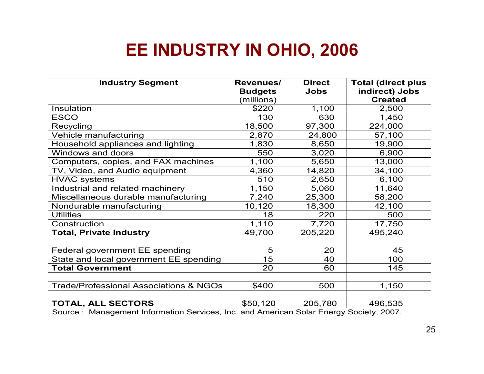### EE INDUSTRY IN OHIO, 2006

| <b>Industry Segment</b>                           | Revenues/<br><b>Budgets</b> | <b>Direct</b><br><b>Jobs</b> | <b>Total (direct plus</b><br>indirect) Jobs |
|---------------------------------------------------|-----------------------------|------------------------------|---------------------------------------------|
|                                                   | (millions)                  |                              | <b>Created</b>                              |
| Insulation                                        | \$220                       | 1,100                        | 2,500                                       |
| <b>ESCO</b>                                       | 130                         | 630                          | 1,450                                       |
| Recycling                                         | 18,500                      | 97,300                       | 224,000                                     |
| Vehicle manufacturing                             | 2,870                       | 24,800                       | 57,100                                      |
| Household appliances and lighting                 | 1,830                       | 8,650                        | 19,900                                      |
| Windows and doors                                 | 550                         | 3,020                        | 6,900                                       |
| Computers, copies, and FAX machines               | 1,100                       | 5,650                        | 13,000                                      |
| TV, Video, and Audio equipment                    | 4,360                       | 14,820                       | 34,100                                      |
| <b>HVAC systems</b>                               | 510                         | 2,650                        | 6,100                                       |
| Industrial and related machinery                  | 1,150                       | 5,060                        | 11,640                                      |
| Miscellaneous durable manufacturing               | 7,240                       | 25,300                       | 58,200                                      |
| Nondurable manufacturing                          | 10,120                      | 18,300                       | 42,100                                      |
| <b>Utilities</b>                                  | 18                          | 220                          | 500                                         |
| Construction                                      | 1,110                       | 7,720                        | 17,750                                      |
| <b>Total, Private Industry</b>                    | 49,700                      | 205,220                      | 495,240                                     |
|                                                   |                             |                              |                                             |
| Federal government EE spending                    | 5                           | 20                           | 45                                          |
| State and local government EE spending            | 15                          | 40                           | 100                                         |
| <b>Total Government</b>                           | 20                          | 60                           | 145                                         |
|                                                   |                             |                              |                                             |
| <b>Trade/Professional Associations &amp; NGOs</b> | \$400                       | 500                          | 1,150                                       |
|                                                   |                             |                              |                                             |
| <b>TOTAL, ALL SECTORS</b>                         | \$50,120                    | 205,780                      | 496,535                                     |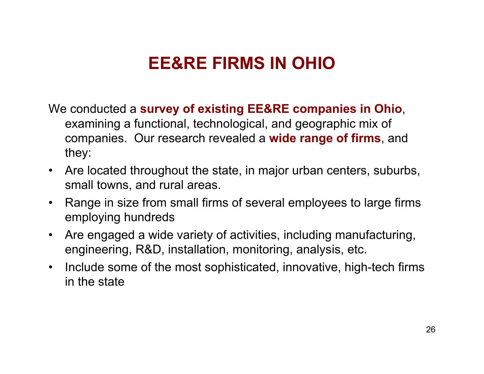### **EE&RE FIRMS IN OHIO**

We conducted a **survey of existing EE&RE companies in Ohio**, examining a functional, technologic al, and geographic mix of companies. Our research revealed a **wide range of firms**, a n d they:

- Are located throughout the state, in major urban centers, suburbs, small towns, and rural areas.
- $\bullet$ Range in size from small firms of several employees to large firms employing hundreds
- $\bullet$ Are engaged a wide variety of activities, including manufacturing, engineering, R&D, installation, monitoring, analysis, etc.
- Include some of the most sophisticated, innovative, high-tech firms in the state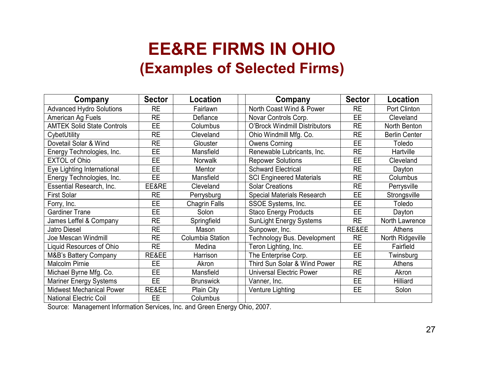#### **EE&RE FIRMS IN OHIO (Examples of Selected Firms)**

| Company                           | <b>Sector</b> | Location             | Company                              | <b>Sector</b> | Location             |
|-----------------------------------|---------------|----------------------|--------------------------------------|---------------|----------------------|
| <b>Advanced Hydro Solutions</b>   | <b>RE</b>     | Fairlawn             | North Coast Wind & Power             | <b>RE</b>     | Port Clinton         |
| American Ag Fuels                 | <b>RE</b>     | Defiance             | Novar Controls Corp.                 | <b>EE</b>     | Cleveland            |
| <b>AMTEK Solid State Controls</b> | EE.           | Columbus             | <b>O'Brock Windmill Distributors</b> | <b>RE</b>     | North Benton         |
| CybetUtility                      | <b>RE</b>     | Cleveland            | Ohio Windmill Mfg. Co.               | <b>RE</b>     | <b>Berlin Center</b> |
| Dovetail Solar & Wind             | <b>RE</b>     | Glouster             | <b>Owens Corning</b>                 | EE            | Toledo               |
| Energy Technologies, Inc.         | <b>EE</b>     | Mansfield            | Renewable Lubricants, Inc.           | <b>RE</b>     | Hartville            |
| <b>EXTOL of Ohio</b>              | EE            | Norwalk              | <b>Repower Solutions</b>             | <b>EE</b>     | Cleveland            |
| Eye Lighting International        | EE            | Mentor               | <b>Schward Electrical</b>            | <b>RE</b>     | Dayton               |
| Energy Technologies, Inc.         | <b>EE</b>     | Mansfield            | <b>SCI Engineered Materials</b>      | <b>RE</b>     | Columbus             |
| Essential Research, Inc.          | EE&RE         | Cleveland            | <b>Solar Creations</b>               | <b>RE</b>     | Perrysville          |
| <b>First Solar</b>                | <b>RE</b>     | Perrysburg           | <b>Special Materials Research</b>    | <b>EE</b>     | Strongsville         |
| Forry, Inc.                       | <b>EE</b>     | <b>Chagrin Falls</b> | SSOE Systems, Inc.                   | <b>EE</b>     | Toledo               |
| <b>Gardiner Trane</b>             | E             | Solon                | <b>Staco Energy Products</b>         | EE.           | Dayton               |
| James Leffel & Company            | <b>RE</b>     | Springfield          | <b>SunLight Energy Systems</b>       | <b>RE</b>     | North Lawrence       |
| <b>Jatro Diesel</b>               | <b>RE</b>     | Mason                | Sunpower, Inc.                       | RE&EE         | Athens               |
| Joe Mescan Windmill               | <b>RE</b>     | Columbia Station     | <b>Technology Bus. Development</b>   | <b>RE</b>     | North Ridgeville     |
| Liquid Resources of Ohio          | <b>RE</b>     | Medina               | Teron Lighting, Inc.                 | <b>EE</b>     | Fairfield            |
| M&B's Battery Company             | RE&EE         | Harrison             | The Enterprise Corp.                 | <b>EE</b>     | Twinsburg            |
| <b>Malcolm Pirnie</b>             | EE            | Akron                | Third Sun Solar & Wind Power         | <b>RE</b>     | <b>Athens</b>        |
| Michael Byrne Mfg. Co.            | <b>EE</b>     | Mansfield            | <b>Universal Electric Power</b>      | <b>RE</b>     | Akron                |
| <b>Mariner Energy Systems</b>     | <b>EE</b>     | <b>Brunswick</b>     | Vanner, Inc.                         | EE            | Hilliard             |
| <b>Midwest Mechanical Power</b>   | RE&EE         | Plain City           | Venture Lighting                     | EE            | Solon                |
| <b>National Electric Coil</b>     | <b>EE</b>     | Columbus             |                                      |               |                      |

Source: Management Information Services, Inc. and Green Energy Ohio, 2007.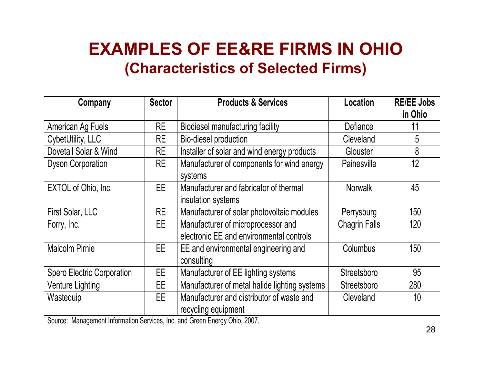### **EXAMPLES OF EE&RE FIRMS IN OHIO (Characteristics of Selected Firms)**

| Company                           | <b>Sector</b> | <b>Products &amp; Services</b>                | Location             | <b>RE/EE Jobs</b> |
|-----------------------------------|---------------|-----------------------------------------------|----------------------|-------------------|
|                                   |               |                                               |                      | in Ohio           |
| American Ag Fuels                 | <b>RE</b>     | <b>Biodiesel manufacturing facility</b>       | Defiance             | 11                |
| CybetUtility, LLC                 | <b>RE</b>     | Bio-diesel production                         | Cleveland            | 5                 |
| Dovetail Solar & Wind             | <b>RE</b>     | Installer of solar and wind energy products   | Glouster             | 8                 |
| <b>Dyson Corporation</b>          | <b>RE</b>     | Manufacturer of components for wind energy    | Painesville          | 12                |
|                                   |               | systems                                       |                      |                   |
| EXTOL of Ohio, Inc.               | EE.           | Manufacturer and fabricator of thermal        | <b>Norwalk</b>       | 45                |
|                                   |               | insulation systems                            |                      |                   |
| First Solar, LLC                  | <b>RE</b>     | Manufacturer of solar photovoltaic modules    | Perrysburg           | 150               |
| Forry, Inc.                       | EE.           | Manufacturer of microprocessor and            | <b>Chagrin Falls</b> | 120               |
|                                   |               | electronic EE and environmental controls      |                      |                   |
| <b>Malcolm Pirnie</b>             | EE.           | EE and environmental engineering and          | Columbus             | 150               |
|                                   |               | consulting                                    |                      |                   |
| <b>Spero Electric Corporation</b> | EE.           | Manufacturer of EE lighting systems           | Streetsboro          | 95                |
| <b>Venture Lighting</b>           | EE.           | Manufacturer of metal halide lighting systems | Streetsboro          | 280               |
| Wastequip                         | EE.           | Manufacturer and distributor of waste and     | Cleveland            | 10                |
|                                   |               | recycling equipment                           |                      |                   |

Source: Management Information Services, Inc. and Green Energy Ohio, 2007.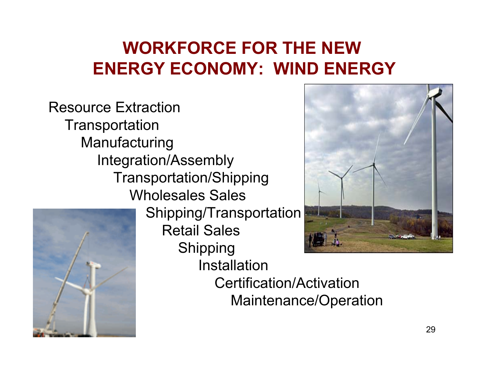### WORKFORCE FOR THE NEW ENERGY ECONOMY: WIND ENERGY

Resource Extraction **Transportation** Manufacturing Integration/Assembly Transportation/Shipping Wholesales Sales



Shipping/Transportation Retail Sales **Shipping** Installation



Certification/Activation Maintenance/Operation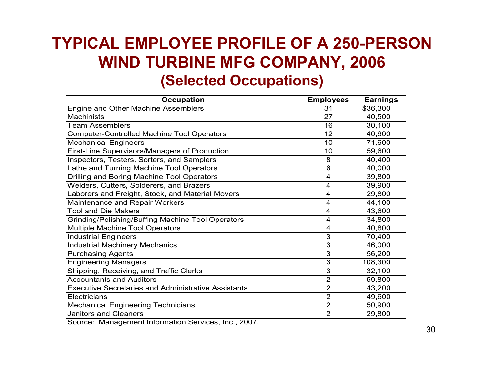#### **TYPICAL EMPLOYEE PROFILE OF A 250-PERSON WIND TURBINE MFG COMPANY, 2006 (Selected Occupations)**

| <b>Occupation</b>                                          | <b>Employees</b> | <b>Earnings</b> |
|------------------------------------------------------------|------------------|-----------------|
| Engine and Other Machine Assemblers                        | 31               | \$36,300        |
| <b>Machinists</b>                                          | 27               | 40,500          |
| <b>Team Assemblers</b>                                     | 16               | 30,100          |
| <b>Computer-Controlled Machine Tool Operators</b>          | 12               | 40,600          |
| <b>Mechanical Engineers</b>                                | 10               | 71,600          |
| First-Line Supervisors/Managers of Production              | 10               | 59,600          |
| Inspectors, Testers, Sorters, and Samplers                 | 8                | 40,400          |
| Lathe and Turning Machine Tool Operators                   | 6                | 40,000          |
| <b>Drilling and Boring Machine Tool Operators</b>          | 4                | 39,800          |
| Welders, Cutters, Solderers, and Brazers                   | $\overline{4}$   | 39,900          |
| Laborers and Freight, Stock, and Material Movers           | $\overline{4}$   | 29,800          |
| Maintenance and Repair Workers                             | 4                | 44,100          |
| <b>Tool and Die Makers</b>                                 | 4                | 43,600          |
| <b>Grinding/Polishing/Buffing Machine Tool Operators</b>   | $\overline{4}$   | 34,800          |
| <b>Multiple Machine Tool Operators</b>                     | 4                | 40,800          |
| <b>Industrial Engineers</b>                                | 3                | 70,400          |
| <b>Industrial Machinery Mechanics</b>                      | 3                | 46,000          |
| <b>Purchasing Agents</b>                                   | $\overline{3}$   | 56,200          |
| <b>Engineering Managers</b>                                | 3                | 108,300         |
| Shipping, Receiving, and Traffic Clerks                    | $\overline{3}$   | 32,100          |
| <b>Accountants and Auditors</b>                            | $\overline{2}$   | 59,800          |
| <b>Executive Secretaries and Administrative Assistants</b> | $\overline{2}$   | 43,200          |
| Electricians                                               | $\overline{2}$   | 49,600          |
| <b>Mechanical Engineering Technicians</b>                  | $\overline{2}$   | 50,900          |
| <b>Janitors and Cleaners</b>                               | $\overline{2}$   | 29,800          |

Source: Management Information Services, Inc., 2007.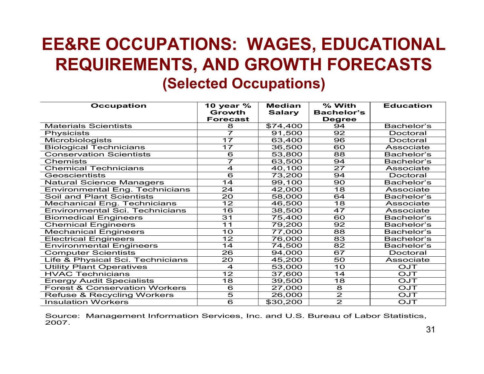### **EE&RE OCCUPATIONS: WAGES, EDUCATIONAL REQUIREMENTS, AND GROWTH FORECASTS (Selected Occupations)**

| <b>Occupation</b>                        | 10 year %          | <b>Median</b> | % With                  | <b>Education</b> |
|------------------------------------------|--------------------|---------------|-------------------------|------------------|
|                                          | Growth             | <b>Salary</b> | <b>Bachelor's</b>       |                  |
|                                          | <b>Forecast</b>    |               | <b>Degree</b>           |                  |
| <b>Materials Scientists</b>              | 8                  | \$74,400      | 94                      | Bachelor's       |
| Physicists                               | 7                  | 91,500        | 92                      | Doctoral         |
| <b>Microbiologists</b>                   | 17                 | 63,400        | 96                      | Doctoral         |
| <b>Biological Technicians</b>            | 17                 | 36,500        | 60                      | <b>Associate</b> |
| <b>Conservation Scientists</b>           | 6                  | 53,800        | 88                      | Bachelor's       |
| Chemists                                 | 7                  | 63,500        | 94                      | Bachelor's       |
| <b>Chemical Technicians</b>              | $\overline{4}$     | 40,100        | 27                      | <b>Associate</b> |
| Geoscientists                            | $\overline{6}$     | 73,200        | 94                      | Doctoral         |
| <b>Natural Science Managers</b>          | 14                 | 99,100        | 90                      | Bachelor's       |
| <b>Environmental Eng. Technicians</b>    | 24                 | 42,000        | 18                      | Associate        |
| Soil and Plant Scientists                | 20                 | 58,000        | 64                      | Bachelor's       |
| <b>Mechanical Eng. Technicians</b>       | 12                 | 46,500        | 18                      | <b>Associate</b> |
| <b>Environmental Sci. Technicians</b>    | $\overline{16}$    | 38,500        | 47                      | <b>Associate</b> |
| <b>Biomedical Engineers</b>              | 31                 | 75,400        | 60                      | Bachelor's       |
| <b>Chemical Engineers</b>                | 11                 | 79,200        | 92                      | Bachelor's       |
| <b>Mechanical Engineers</b>              | $\overline{10}$    | 77,000        | $\overline{88}$         | Bachelor's       |
| <b>Electrical Engineers</b>              | 12                 | 76,000        | 83                      | Bachelor's       |
| <b>Environmental Engineers</b>           | 14                 | 74,500        | 82                      | Bachelor's       |
| <b>Computer Scientists</b>               | 26                 | 94,000        | 67                      | Doctoral         |
| Life & Physical Sci. Technicians         | 20                 | 45,200        | 50                      | <b>Associate</b> |
| <b>Utility Plant Operatives</b>          | $\overline{4}$     | 53,000        | 10                      | OJT              |
| <b>HVAC Technicians</b>                  | 12                 | 37,600        | 14                      | OJT              |
| <b>Energy Audit Specialists</b>          | $\overline{18}$    | 39,500        | $\overline{18}$         | <b>OJT</b>       |
| <b>Forest &amp; Conservation Workers</b> | $\overline{6}$     | 27,000        | $\overline{8}$          | <b>OJT</b>       |
| <b>Refuse &amp; Recycling Workers</b>    | $\overline{\bf 5}$ | 26,000        | $\overline{2}$          | <b>OJT</b>       |
| <b>Insulation Workers</b>                | $\overline{6}$     | \$30,200      | $\overline{\mathbf{2}}$ | OJT              |

Source: Management Information Services, Inc. and U.S. Bureau of Labor Statistics, 2007.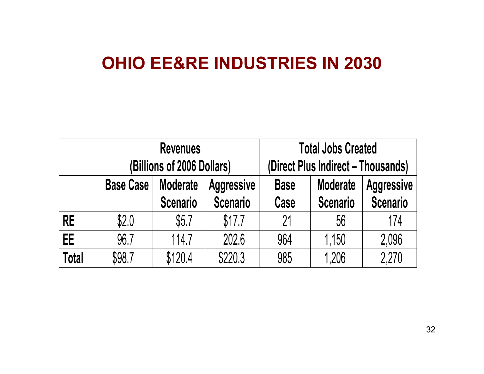#### OHIO EE&RE INDUSTRIES IN 2030

|              |                  | <b>Revenues</b>                    |                                      | <b>Total Jobs Created</b>          |                                    |                                      |  |
|--------------|------------------|------------------------------------|--------------------------------------|------------------------------------|------------------------------------|--------------------------------------|--|
|              |                  | (Billions of 2006 Dollars)         |                                      | (Direct Plus Indirect – Thousands) |                                    |                                      |  |
|              | <b>Base Case</b> | <b>Moderate</b><br><b>Scenario</b> | <b>Aggressive</b><br><b>Scenario</b> | <b>Base</b><br>Case                | <b>Moderate</b><br><b>Scenario</b> | <b>Aggressive</b><br><b>Scenario</b> |  |
| <b>RE</b>    | \$2.0            | \$5.7                              | \$17.7                               | 21                                 | 56                                 | 174                                  |  |
| EE.          | 96.7             | 114.7                              | 202.6                                | 964                                | 1,150                              | 2,096                                |  |
| <b>Total</b> | \$98.7           | \$120.4                            | \$220.3                              | 985                                | 1,206                              | 2,270                                |  |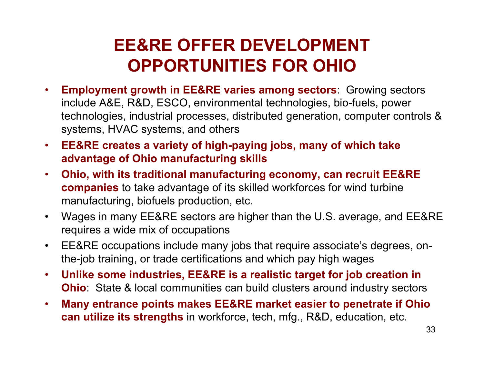### EE&RE OFFER DEVELOPMENT **OPPORTUNITIES FOR OHIO**

- **Employment growth in EE&RE varies among sectors**: Growing sectors include A&E, R&D, ESCO, environmental technologies, bio-fuels, power technologies, industrial processes, distributed generation, computer controls & systems, HVAC systems, and others
- **EE&RE creates a variety of high-paying jobs, many of which take advantage of Ohio manufacturing skills**
- **Ohio, with its traditional manufacturing economy, can recruit EE&RE companies** to take advantage of its skilled workforces for wind turbine manufacturing, biofuels production, etc.
- Wages in many EE&RE sectors are higher than the U.S. average, and EE&RE requires a wide mix of occupations
- EE&RE occupations include many jobs that require associate's degrees, onthe-job training, or trade certifications and which pay high wages
- **Unlike some industries, EE&RE is a realistic target for job creation in O hio**: State & local communities can build clusters around industry sectors
- **Many entrance points makes EE&RE market easier to penetrate if Ohio can utilize its strengths** in workforce, tech, mfg., R&D, education, etc.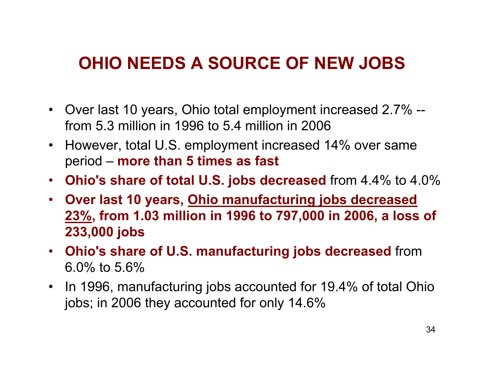### **OHIO NEEDS A SOURCE OF NEW JOBS**

- $\bullet$ Over last 10 years, Ohio total employment increased 2.7% - from 5.3 million in 1996 to 5.4 million in 2006
- $\bullet$ However, total U.S. employment increased 14% over same p e rio d – **more than 5 times as fast**
- **Ohio's share of total U.S. jobs decreased** from 4.4% to 4.0%
- **Over last 10 years, Ohio manufacturing jobs decreased 23%, from 1.03 million in 1996 to 797,000 in 2006, a loss of 233,000 jobs**
- **Ohio's share of U.S. manufacturing jobs decreased from** 6.0% to 5.6%
- In 1996, manufacturing jobs accounted for 19.4% of total Ohio jobs; in 2006 they accounted for only 14.6%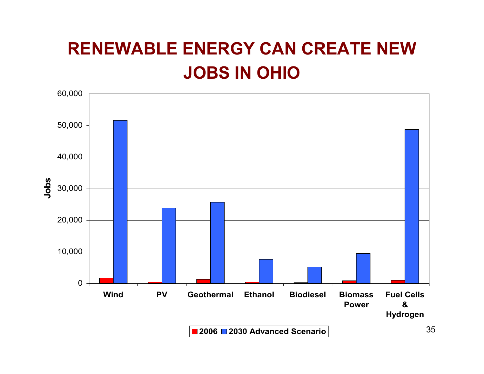### **RENEWABLE ENERGY CAN CREATE NEW JOBS IN OHIO**

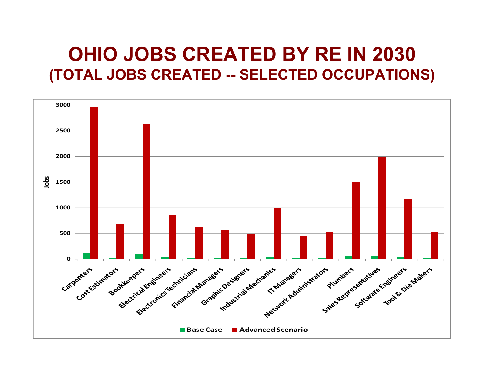### **OHIO JOBS CREATED BY RE IN 2030** (TOTAL JOBS CREATED -- SELECTED OCCUPATIONS)

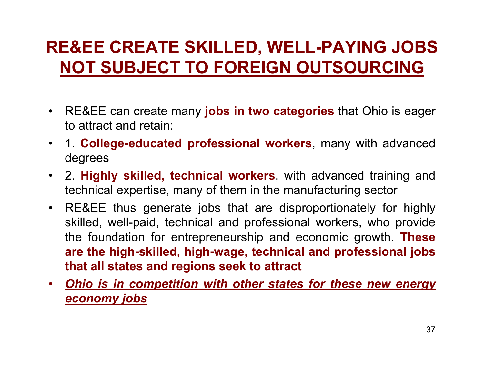### **RE&EE CREATE SKILLED, WELL-PAYING JOBS** NOT SUBJECT TO FOREIGN OUTSOURCING

- RE&EE can create many jobs in two categories that Ohio is eager to attract and retain:
- $\bullet$ 1. College-educated professional workers, many with advanced degrees
- 2. **Highly skilled, technical workers**, with advanced training and technical expertise, many of them in the manufacturing sector
- RE&EE thus generate jobs that are disproportionately for highly skilled, well-paid, technical and professional workers, who provide the foundation for entrepreneurship and economic growth. These **are the high-skilled, high-wage, technical and professional jobs that all states and regions seek to attract**
- . Ohio is in competition with other states for these new energy *economy jobs*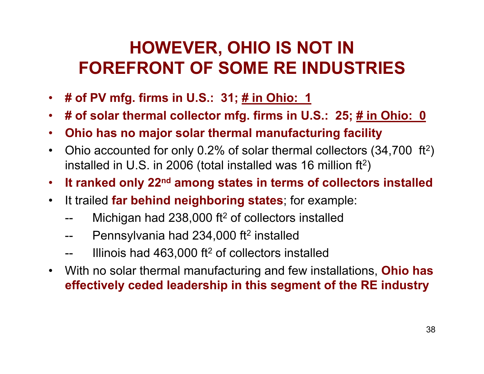### **HOWEVER, OHIO IS NOT IN** FOREFRONT OF SOME RE INDUSTRIES

- $\bullet$ **# o f P V m f g. fir m s i n U.S.: 3 1; # in O hio: 1**
- $\bullet$ # of solar thermal collector mfg. firms in U.S.: 25; <u># in Ohio: 0</u>
- **Ohio has no major solar thermal manufacturing facility**
- $\bullet$ Ohio accounted for only 0.2% of solar thermal collectors (34,700 ft<sup>2</sup>) installed in U.S. in 2006 (total installed was 16 million  $ft<sup>2</sup>$ )
- **It ranked only 22 n <sup>d</sup> among states in terms of collectors installed**
- It trailed far behind neighboring states; for example:
	- -- Michigan had 238,000 ft<sup>2</sup> of collectors installed
	- -- Pennsylvania had 234,000 ft<sup>2</sup> installed
	- -- Illinois had 463,000 ft<sup>2</sup> of collectors installed
- $\bullet$ With no solar thermal manufacturing and few installations, **Ohio has**  effectively ceded leadership in this segment of the RE industry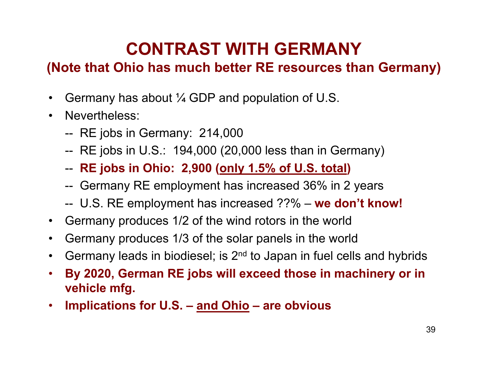### **CONTRAST WITH GERMANY**

#### **(Note that Ohio has much better RE resources than Germany)**

- $\bullet$ Germany has about  $\frac{1}{4}$  GDP and population of U.S.
- Nevertheless:
	- -- RE jobs in Germany: 214,000
	- -- RE jobs in U.S.: 194,000 (20,000 less than in Germany)
	- -- **RE** jobs in Ohio: 2,900 (only 1.5% of U.S. total)
	- -- Germany RE employment has increased 36% in 2 years
	- -- U.S. RE employment has increased ??% **we d o n't kn ow!**
- $\bullet$ Germany produces 1/2 of the wind rotors in the world
- $\bullet$ Germany produces 1/3 of the solar panels in the world
- $\bullet$ Germany leads in biodiesel; is 2<sup>nd</sup> to Japan in fuel cells and hybrids
- **By 2020, German RE jobs will exceed those in machinery or in**  vehicle mfg.
- Implications for U.S. and Ohio are obvious